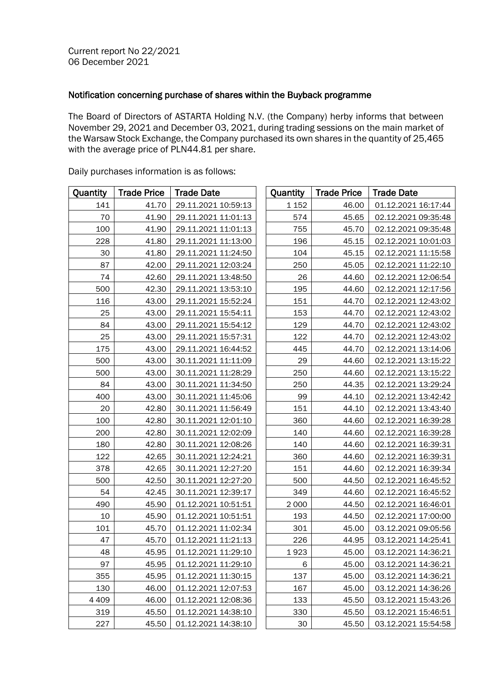## Notification concerning purchase of shares within the Buyback programme

The Board of Directors of ASTARTA Holding N.V. (the Company) herby informs that between November 29, 2021 and December 03, 2021, during trading sessions on the main market of the Warsaw Stock Exchange, the Company purchased its own shares in the quantity of 25,465 with the average price of PLN44.81 per share.

| Quantity | <b>Trade Price</b> | <b>Trade Date</b>   | Quantity | <b>Trade Price</b> | <b>Trade Date</b>   |
|----------|--------------------|---------------------|----------|--------------------|---------------------|
| 141      | 41.70              | 29.11.2021 10:59:13 | 1 1 5 2  | 46.00              | 01.12.2021 16:17:44 |
| 70       | 41.90              | 29.11.2021 11:01:13 | 574      | 45.65              | 02.12.2021 09:35:48 |
| 100      | 41.90              | 29.11.2021 11:01:13 | 755      | 45.70              | 02.12.2021 09:35:48 |
| 228      | 41.80              | 29.11.2021 11:13:00 | 196      | 45.15              | 02.12.2021 10:01:03 |
| 30       | 41.80              | 29.11.2021 11:24:50 | 104      | 45.15              | 02.12.2021 11:15:58 |
| 87       | 42.00              | 29.11.2021 12:03:24 | 250      | 45.05              | 02.12.2021 11:22:10 |
| 74       | 42.60              | 29.11.2021 13:48:50 | 26       | 44.60              | 02.12.2021 12:06:54 |
| 500      | 42.30              | 29.11.2021 13:53:10 | 195      | 44.60              | 02.12.2021 12:17:56 |
| 116      | 43.00              | 29.11.2021 15:52:24 | 151      | 44.70              | 02.12.2021 12:43:02 |
| 25       | 43.00              | 29.11.2021 15:54:11 | 153      | 44.70              | 02.12.2021 12:43:02 |
| 84       | 43.00              | 29.11.2021 15:54:12 | 129      | 44.70              | 02.12.2021 12:43:02 |
| 25       | 43.00              | 29.11.2021 15:57:31 | 122      | 44.70              | 02.12.2021 12:43:02 |
| 175      | 43.00              | 29.11.2021 16:44:52 | 445      | 44.70              | 02.12.2021 13:14:06 |
| 500      | 43.00              | 30.11.2021 11:11:09 | 29       | 44.60              | 02.12.2021 13:15:22 |
| 500      | 43.00              | 30.11.2021 11:28:29 | 250      | 44.60              | 02.12.2021 13:15:22 |
| 84       | 43.00              | 30.11.2021 11:34:50 | 250      | 44.35              | 02.12.2021 13:29:24 |
| 400      | 43.00              | 30.11.2021 11:45:06 | 99       | 44.10              | 02.12.2021 13:42:42 |
| 20       | 42.80              | 30.11.2021 11:56:49 | 151      | 44.10              | 02.12.2021 13:43:40 |
| 100      | 42.80              | 30.11.2021 12:01:10 | 360      | 44.60              | 02.12.2021 16:39:28 |
| 200      | 42.80              | 30.11.2021 12:02:09 | 140      | 44.60              | 02.12.2021 16:39:28 |
| 180      | 42.80              | 30.11.2021 12:08:26 | 140      | 44.60              | 02.12.2021 16:39:31 |
| 122      | 42.65              | 30.11.2021 12:24:21 | 360      | 44.60              | 02.12.2021 16:39:31 |
| 378      | 42.65              | 30.11.2021 12:27:20 | 151      | 44.60              | 02.12.2021 16:39:34 |
| 500      | 42.50              | 30.11.2021 12:27:20 | 500      | 44.50              | 02.12.2021 16:45:52 |
| 54       | 42.45              | 30.11.2021 12:39:17 | 349      | 44.60              | 02.12.2021 16:45:52 |
| 490      | 45.90              | 01.12.2021 10:51:51 | 2 0 0 0  | 44.50              | 02.12.2021 16:46:01 |
| 10       | 45.90              | 01.12.2021 10:51:51 | 193      | 44.50              | 02.12.2021 17:00:00 |
| 101      | 45.70              | 01.12.2021 11:02:34 | 301      | 45.00              | 03.12.2021 09:05:56 |
| 47       | 45.70              | 01.12.2021 11:21:13 | 226      | 44.95              | 03.12.2021 14:25:41 |
| 48       | 45.95              | 01.12.2021 11:29:10 | 1923     | 45.00              | 03.12.2021 14:36:21 |
| 97       | 45.95              | 01.12.2021 11:29:10 | 6        | 45.00              | 03.12.2021 14:36:21 |
| 355      | 45.95              | 01.12.2021 11:30:15 | 137      | 45.00              | 03.12.2021 14:36:21 |
| 130      | 46.00              | 01.12.2021 12:07:53 | 167      | 45.00              | 03.12.2021 14:36:26 |
| 4 4 0 9  | 46.00              | 01.12.2021 12:08:36 | 133      | 45.50              | 03.12.2021 15:43:26 |
| 319      | 45.50              | 01.12.2021 14:38:10 | 330      | 45.50              | 03.12.2021 15:46:51 |
| 227      | 45.50              | 01.12.2021 14:38:10 | 30       | 45.50              | 03.12.2021 15:54:58 |

Daily purchases information is as follows: